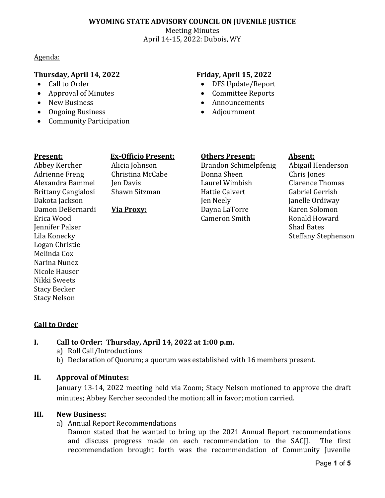## **WYOMING STATE ADVISORY COUNCIL ON JUVENILE JUSTICE**

Meeting Minutes April 14-15, 2022: Dubois, WY

Agenda:

## **Thursday, April 14, 2022 Friday, April 15, 2022**

- Call to Order
- Approval of Minutes
- New Business
- Ongoing Business
- Community Participation

- DFS Update/Report
- Committee Reports
- Announcements
- Adjournment

Abbey Kercher Adrienne Freng Alexandra Bammel Brittany Cangialosi Dakota Jackson Damon DeBernardi

Erica Wood Jennifer Palser Lila Konecky Logan Christie Melinda Cox Narina Nunez Nicole Hauser Nikki Sweets Stacy Becker Stacy Nelson

## **Present: Ex-Officio Present: Others Present: Absent:**

Alicia Johnson Christina McCabe Jen Davis Shawn Sitzman

### **Via Proxy:**

Brandon Schimelpfenig Donna Sheen Laurel Wimbish Hattie Calvert Jen Neely Dayna LaTorre Cameron Smith

Abigail Henderson Chris Jones Clarence Thomas Gabriel Gerrish Janelle Ordiway Karen Solomon Ronald Howard Shad Bates Steffany Stephenson

## **Call to Order**

## **I. Call to Order: Thursday, April 14, 2022 at 1:00 p.m.**

- a) Roll Call/Introductions
- b) Declaration of Quorum; a quorum was established with 16 members present.

### **II. Approval of Minutes:**

January 13-14, 2022 meeting held via Zoom; Stacy Nelson motioned to approve the draft minutes; Abbey Kercher seconded the motion; all in favor; motion carried.

### **III. New Business:**

a) Annual Report Recommendations

Damon stated that he wanted to bring up the 2021 Annual Report recommendations and discuss progress made on each recommendation to the SACII. The first and discuss progress made on each recommendation to the SACII. recommendation brought forth was the recommendation of Community Juvenile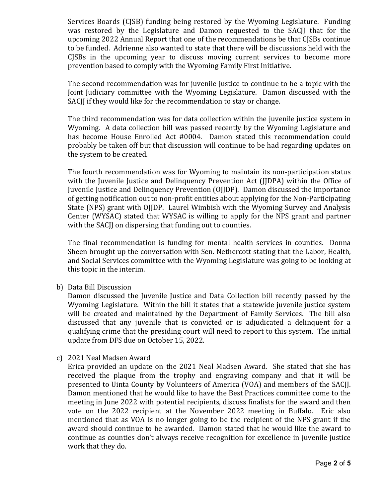Services Boards (CJSB) funding being restored by the Wyoming Legislature. Funding was restored by the Legislature and Damon requested to the SACJJ that for the upcoming 2022 Annual Report that one of the recommendations be that CJSBs continue to be funded. Adrienne also wanted to state that there will be discussions held with the CJSBs in the upcoming year to discuss moving current services to become more prevention based to comply with the Wyoming Family First Initiative.

The second recommendation was for juvenile justice to continue to be a topic with the Joint Judiciary committee with the Wyoming Legislature. Damon discussed with the SACJJ if they would like for the recommendation to stay or change.

The third recommendation was for data collection within the juvenile justice system in Wyoming. A data collection bill was passed recently by the Wyoming Legislature and has become House Enrolled Act #0004. Damon stated this recommendation could probably be taken off but that discussion will continue to be had regarding updates on the system to be created.

The fourth recommendation was for Wyoming to maintain its non-participation status with the Juvenile Justice and Delinquency Prevention Act (JJDPA) within the Office of Juvenile Justice and Delinquency Prevention (OJJDP). Damon discussed the importance of getting notification out to non-profit entities about applying for the Non-Participating State (NPS) grant with OJJDP. Laurel Wimbish with the Wyoming Survey and Analysis Center (WYSAC) stated that WYSAC is willing to apply for the NPS grant and partner with the SACJJ on dispersing that funding out to counties.

The final recommendation is funding for mental health services in counties. Donna Sheen brought up the conversation with Sen. Nethercott stating that the Labor, Health, and Social Services committee with the Wyoming Legislature was going to be looking at this topic in the interim.

b) Data Bill Discussion

Damon discussed the Juvenile Justice and Data Collection bill recently passed by the Wyoming Legislature. Within the bill it states that a statewide juvenile justice system will be created and maintained by the Department of Family Services. The bill also discussed that any juvenile that is convicted or is adjudicated a delinquent for a qualifying crime that the presiding court will need to report to this system. The initial update from DFS due on October 15, 2022.

c) 2021 Neal Madsen Award

Erica provided an update on the 2021 Neal Madsen Award. She stated that she has received the plaque from the trophy and engraving company and that it will be presented to Uinta County by Volunteers of America (VOA) and members of the SACJJ. Damon mentioned that he would like to have the Best Practices committee come to the meeting in June 2022 with potential recipients, discuss finalists for the award and then vote on the 2022 recipient at the November 2022 meeting in Buffalo. Eric also mentioned that as VOA is no longer going to be the recipient of the NPS grant if the award should continue to be awarded. Damon stated that he would like the award to continue as counties don't always receive recognition for excellence in juvenile justice work that they do.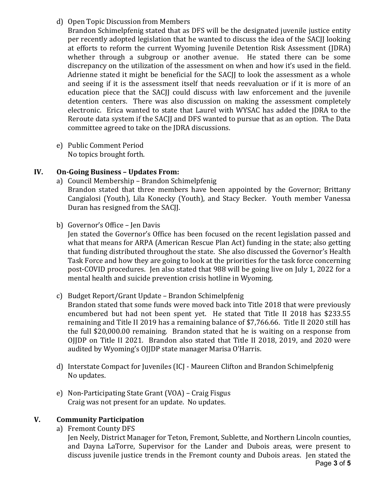# d) Open Topic Discussion from Members

Brandon Schimelpfenig stated that as DFS will be the designated juvenile justice entity per recently adopted legislation that he wanted to discuss the idea of the SACJJ looking at efforts to reform the current Wyoming Juvenile Detention Risk Assessment (JDRA) whether through a subgroup or another avenue. He stated there can be some discrepancy on the utilization of the assessment on when and how it's used in the field. Adrienne stated it might be beneficial for the SACJJ to look the assessment as a whole and seeing if it is the assessment itself that needs reevaluation or if it is more of an education piece that the SACJJ could discuss with law enforcement and the juvenile detention centers. There was also discussion on making the assessment completely electronic. Erica wanted to state that Laurel with WYSAC has added the JDRA to the Reroute data system if the SACJJ and DFS wanted to pursue that as an option. The Data committee agreed to take on the JDRA discussions.

e) Public Comment Period No topics brought forth.

## **IV. On-Going Business – Updates From:**

- a) Council Membership Brandon Schimelpfenig Brandon stated that three members have been appointed by the Governor; Brittany Cangialosi (Youth), Lila Konecky (Youth), and Stacy Becker. Youth member Vanessa Duran has resigned from the SACJJ.
- b) Governor's Office Jen Davis

Jen stated the Governor's Office has been focused on the recent legislation passed and what that means for ARPA (American Rescue Plan Act) funding in the state; also getting that funding distributed throughout the state. She also discussed the Governor's Health Task Force and how they are going to look at the priorities for the task force concerning post-COVID procedures. Jen also stated that 988 will be going live on July 1, 2022 for a mental health and suicide prevention crisis hotline in Wyoming.

c) Budget Report/Grant Update – Brandon Schimelpfenig

Brandon stated that some funds were moved back into Title 2018 that were previously encumbered but had not been spent yet. He stated that Title II 2018 has \$233.55 remaining and Title II 2019 has a remaining balance of \$7,766.66. Title II 2020 still has the full \$20,000.00 remaining. Brandon stated that he is waiting on a response from OJJDP on Title II 2021. Brandon also stated that Title II 2018, 2019, and 2020 were audited by Wyoming's OJJDP state manager Marisa O'Harris.

- d) Interstate Compact for Juveniles (ICJ Maureen Clifton and Brandon Schimelpfenig No updates.
- e) Non-Participating State Grant (VOA) Craig Fisgus Craig was not present for an update. No updates.

## **V. Community Participation**

a) Fremont County DFS

Jen Neely, District Manager for Teton, Fremont, Sublette, and Northern Lincoln counties, and Dayna LaTorre, Supervisor for the Lander and Dubois areas, were present to discuss juvenile justice trends in the Fremont county and Dubois areas. Jen stated the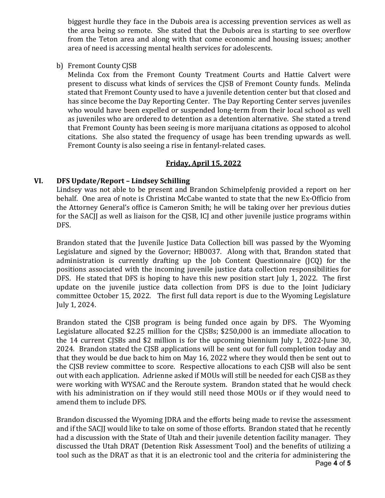biggest hurdle they face in the Dubois area is accessing prevention services as well as the area being so remote. She stated that the Dubois area is starting to see overflow from the Teton area and along with that come economic and housing issues; another area of need is accessing mental health services for adolescents.

b) Fremont County CJSB

Melinda Cox from the Fremont County Treatment Courts and Hattie Calvert were present to discuss what kinds of services the CJSB of Fremont County funds. Melinda stated that Fremont County used to have a juvenile detention center but that closed and has since become the Day Reporting Center. The Day Reporting Center serves juveniles who would have been expelled or suspended long-term from their local school as well as juveniles who are ordered to detention as a detention alternative. She stated a trend that Fremont County has been seeing is more marijuana citations as opposed to alcohol citations. She also stated the frequency of usage has been trending upwards as well. Fremont County is also seeing a rise in fentanyl-related cases.

# **Friday, April 15, 2022**

## **VI. DFS Update/Report – Lindsey Schilling**

Lindsey was not able to be present and Brandon Schimelpfenig provided a report on her behalf. One area of note is Christina McCabe wanted to state that the new Ex-Officio from the Attorney General's office is Cameron Smith; he will be taking over her previous duties for the SACII as well as liaison for the CISB, ICI and other juvenile justice programs within DFS.

Brandon stated that the Juvenile Justice Data Collection bill was passed by the Wyoming Legislature and signed by the Governor; HB0037. Along with that, Brandon stated that administration is currently drafting up the Job Content Questionnaire (JCQ) for the positions associated with the incoming juvenile justice data collection responsibilities for DFS. He stated that DFS is hoping to have this new position start July 1, 2022. The first update on the juvenile justice data collection from DFS is due to the Joint Judiciary committee October 15, 2022. The first full data report is due to the Wyoming Legislature July 1, 2024.

Brandon stated the CJSB program is being funded once again by DFS. The Wyoming Legislature allocated \$2.25 million for the CJSBs; \$250,000 is an immediate allocation to the 14 current CJSBs and \$2 million is for the upcoming biennium July 1, 2022-June 30, 2024. Brandon stated the CJSB applications will be sent out for full completion today and that they would be due back to him on May 16, 2022 where they would then be sent out to the CJSB review committee to score. Respective allocations to each CJSB will also be sent out with each application. Adrienne asked if MOUs will still be needed for each CJSB as they were working with WYSAC and the Reroute system. Brandon stated that he would check with his administration on if they would still need those MOUs or if they would need to amend them to include DFS.

Brandon discussed the Wyoming JDRA and the efforts being made to revise the assessment and if the SACJJ would like to take on some of those efforts. Brandon stated that he recently had a discussion with the State of Utah and their juvenile detention facility manager. They discussed the Utah DRAT (Detention Risk Assessment Tool) and the benefits of utilizing a tool such as the DRAT as that it is an electronic tool and the criteria for administering the